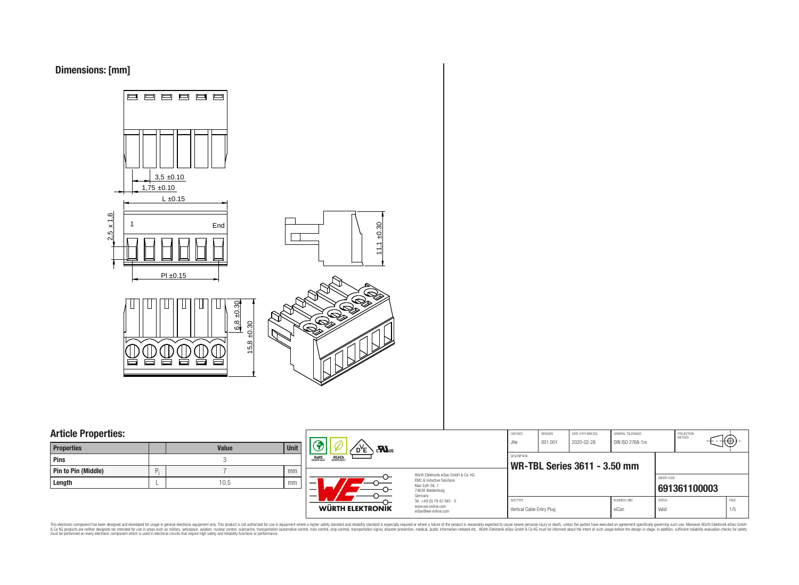## **Dimensions: [mm]**



## **Article Properties:**

| <b>Pins</b>                     |      |    |
|---------------------------------|------|----|
| <b>Pin to Pin (Middle)</b><br>Ρ |      | mm |
| Length                          | 10.5 | mm |



⊕

This electronic component has been designed and developed for usage in general electronic equipment only. This product is not authorized for subserved requipment where a higher selection equipment where a higher selection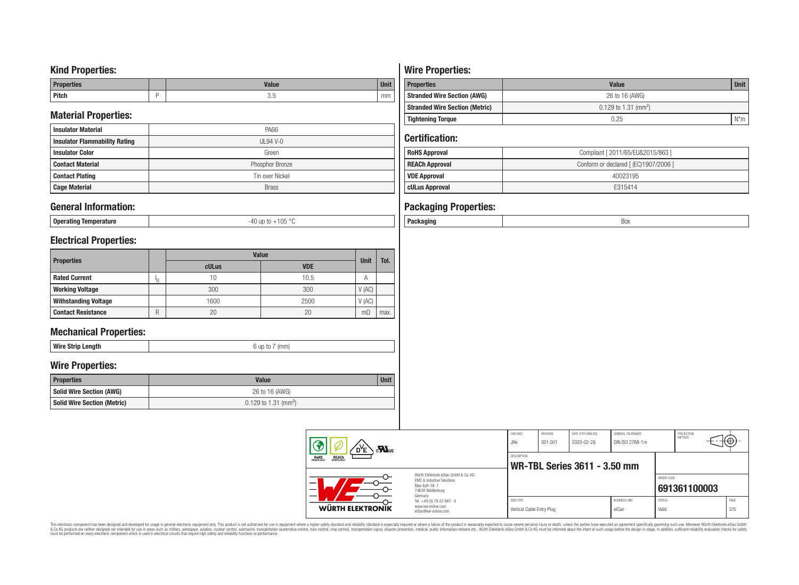## **Kind Properties:**

| <b>Properties</b> | <b>Value</b> | <b>Unit</b> |
|-------------------|--------------|-------------|
| <b>Pitch</b>      | ບ.∪          | mm          |

# **Material Properties:**

| <b>Insulator Material</b>            | PA66            |  |  |  |  |
|--------------------------------------|-----------------|--|--|--|--|
| <b>Insulator Flammability Rating</b> | $UL94V-0$       |  |  |  |  |
| <b>Insulator Color</b>               | Green           |  |  |  |  |
| <b>Contact Material</b>              | Phosphor Bronze |  |  |  |  |
| <b>Contact Plating</b>               | Tin over Nickel |  |  |  |  |
| <b>Cage Material</b>                 | <b>Brass</b>    |  |  |  |  |

## **General Information:**

| Operating Temperature | -40 up to +105 °C |
|-----------------------|-------------------|

# **Electrical Properties:**

| <b>Properties</b>              |  | <b>Value</b> | <b>Unit</b> | Tol.                      |      |
|--------------------------------|--|--------------|-------------|---------------------------|------|
|                                |  | cULus        | <b>VDE</b>  |                           |      |
| <b>Rated Current</b>           |  | 10           | 10.5        | $\boldsymbol{\mathsf{A}}$ |      |
| <b>Working Voltage</b>         |  | 300          | 300         | V(AC)                     |      |
| <b>Withstanding Voltage</b>    |  | 1600         | 2500        | V(AC)                     |      |
| <b>Contact Resistance</b><br>R |  | 20           | 20          | $m\Omega$                 | max. |

# **Mechanical Properties:**

| Wir<br>-----<br>enam<br>a i<br>ш<br><br>-9 |
|--------------------------------------------|
|--------------------------------------------|

## **Wire Properties:**

| <b>Properties</b>                  | <b>Value</b>                     |  |  |  |  |
|------------------------------------|----------------------------------|--|--|--|--|
| Solid Wire Section (AWG)           | 26 to 16 (AWG)                   |  |  |  |  |
| <b>Solid Wire Section (Metric)</b> | 0.129 to 1.31 (mm <sup>2</sup> ) |  |  |  |  |

# **Wire Properties:**

| <b>Properties</b>                     | <b>Value</b>                       |              |  |  |  |
|---------------------------------------|------------------------------------|--------------|--|--|--|
| <b>Stranded Wire Section (AWG)</b>    | 26 to 16 (AWG)                     |              |  |  |  |
| <b>Stranded Wire Section (Metric)</b> | $0.129$ to 1.31 (mm <sup>2</sup> ) |              |  |  |  |
| <b>Tightening Torque</b>              | 0.25                               | $N^{\star}m$ |  |  |  |

## **Certification:**

| <b>RoHS Approval</b>  | Compliant [ 2011/65/EU&2015/863 ]     |  |  |  |  |  |
|-----------------------|---------------------------------------|--|--|--|--|--|
| <b>REACh Approval</b> | Conform or declared [ (EC)1907/2006 ] |  |  |  |  |  |
| <b>VDE Approval</b>   | 40023195                              |  |  |  |  |  |
| cULus Approval        | F315414                               |  |  |  |  |  |
|                       |                                       |  |  |  |  |  |

# **Packaging Properties:**

|  | נטכ |
|--|-----|
|  |     |

|  | 3<br>$\mathbf{r}$                                                                                                                                                                |                                                                        | CHECKED<br>JHe                                     | <b>REVISION</b><br>001.001 | DATE (YYYY-MM-DD)<br>2020-02-28 | <b>GENERAL TOLERANCE</b><br>DIN ISO 2768-1m |                        | PROJECTION<br>METHOD | ₩           |  |
|--|----------------------------------------------------------------------------------------------------------------------------------------------------------------------------------|------------------------------------------------------------------------|----------------------------------------------------|----------------------------|---------------------------------|---------------------------------------------|------------------------|----------------------|-------------|--|
|  | <b>REACH</b><br>COMPLIANT<br>ROHS<br>COMPLIANT<br>Würth Elektronik eiSos GmbH & Co. KG<br><b>EMC &amp; Inductive Solutions</b><br>Max-Eyth-Str. 1<br>74638 Waldenburg<br>Germany |                                                                        | DESCRIPTION<br><b>WR-TBL Series 3611 - 3.50 mm</b> |                            |                                 |                                             |                        |                      |             |  |
|  |                                                                                                                                                                                  |                                                                        |                                                    |                            |                                 |                                             | ORDER CODE             | 691361100003         |             |  |
|  | WÜRTH ELEKTRONIK                                                                                                                                                                 | Tel. +49 (0) 79 42 945 - 0<br>www.we-online.com<br>eiSos@we-online.com | SIZE/TYPE<br>Vertical Cable Entry Plug             |                            |                                 | <b>BUSINESS UNIT</b><br>eiCan               | <b>STATUS</b><br>Valid |                      | PAGE<br>2/5 |  |

This electronic component has been designed and developed for usage in general electronic equipment only. This product is not authorized for subserved requipment where a higher selection equipment where a higher selection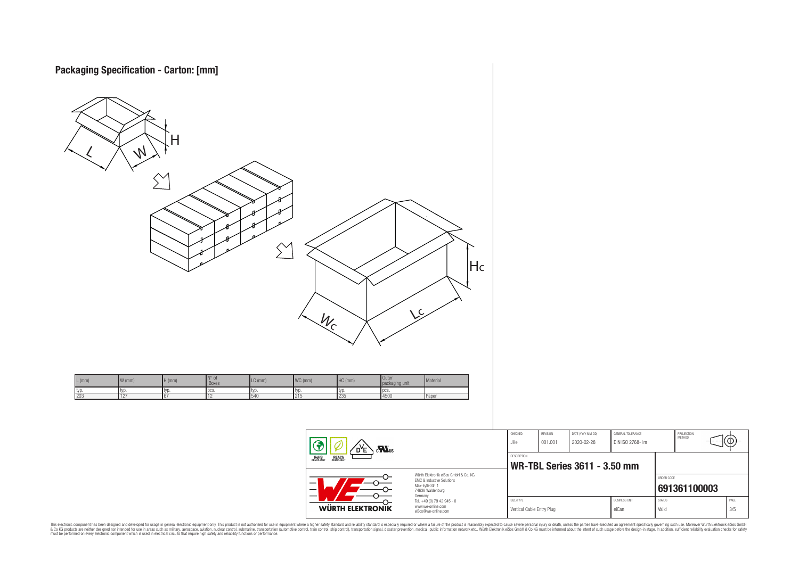



**WR-TBL Series 3611 - 3.50 mm** ORDER CODE **[691361100003](https://katalog.we-online.de/en/em/WR-TBL/691361100003)** Germany Tel. +49 (0) 79 42 945 - 0 SIZE/TYPE BUSINESS UNIT STATUS PAGE www.we-online.com WÜRTH ELEKTRONIK Vertical Cable Entry Plug eiCan values and the Valid valid values of the Subset of the Subset of the Subset of the Subset of the Subset of the Subset of the Subset of the Subset of the Subset of the Subset of the Subset of eiSos@we-online.com

PROJECTION<br>METHOD

łΘ

This electronic component has been designed and developed for usage in general electronic equipment only. This product is not authorized for subserved requipment where a higher selection equipment where a higher selection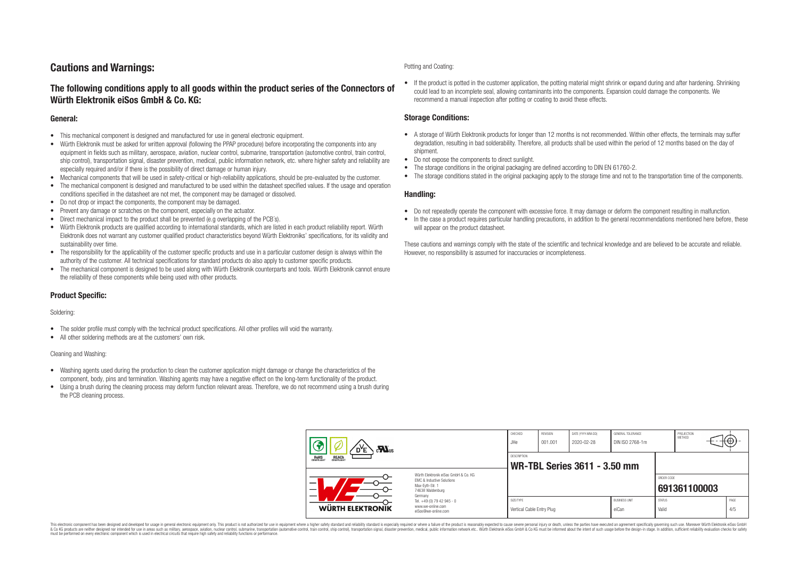## **Cautions and Warnings:**

## **The following conditions apply to all goods within the product series of the Connectors of Würth Elektronik eiSos GmbH & Co. KG:**

### **General:**

- This mechanical component is designed and manufactured for use in general electronic equipment.
- Würth Elektronik must be asked for written approval (following the PPAP procedure) before incorporating the components into any equipment in fields such as military, aerospace, aviation, nuclear control, submarine, transportation (automotive control, train control, ship control), transportation signal, disaster prevention, medical, public information network, etc. where higher safety and reliability are especially required and/or if there is the possibility of direct damage or human injury.
- Mechanical components that will be used in safety-critical or high-reliability applications, should be pre-evaluated by the customer.
- The mechanical component is designed and manufactured to be used within the datasheet specified values. If the usage and operation conditions specified in the datasheet are not met, the component may be damaged or dissolved.
- Do not drop or impact the components, the component may be damaged.
- Prevent any damage or scratches on the component, especially on the actuator.
- Direct mechanical impact to the product shall be prevented (e.g overlapping of the PCB's).
- Würth Elektronik products are qualified according to international standards, which are listed in each product reliability report. Würth Elektronik does not warrant any customer qualified product characteristics beyond Würth Elektroniks' specifications, for its validity and sustainability over time.
- The responsibility for the applicability of the customer specific products and use in a particular customer design is always within the authority of the customer. All technical specifications for standard products do also apply to customer specific products.
- The mechanical component is designed to be used along with Würth Elektronik counterparts and tools. Würth Elektronik cannot ensure the reliability of these components while being used with other products.

### **Product Specific:**

#### Soldering:

- The solder profile must comply with the technical product specifications. All other profiles will void the warranty.
- All other soldering methods are at the customers' own risk.

#### Cleaning and Washing:

- Washing agents used during the production to clean the customer application might damage or change the characteristics of the component, body, pins and termination. Washing agents may have a negative effect on the long-term functionality of the product.
- Using a brush during the cleaning process may deform function relevant areas. Therefore, we do not recommend using a brush during the PCB cleaning process.

#### Potting and Coating:

• If the product is potted in the customer application, the potting material might shrink or expand during and after hardening. Shrinking could lead to an incomplete seal, allowing contaminants into the components. Expansion could damage the components. We recommend a manual inspection after potting or coating to avoid these effects.

### **Storage Conditions:**

- A storage of Würth Elektronik products for longer than 12 months is not recommended. Within other effects, the terminals may suffer degradation, resulting in bad solderability. Therefore, all products shall be used within the period of 12 months based on the day of shipment.
- Do not expose the components to direct sunlight.
- The storage conditions in the original packaging are defined according to DIN EN 61760-2.
- The storage conditions stated in the original packaging apply to the storage time and not to the transportation time of the components.

### **Handling:**

- Do not repeatedly operate the component with excessive force. It may damage or deform the component resulting in malfunction.
- In the case a product requires particular handling precautions, in addition to the general recommendations mentioned here before, these will appear on the product datasheet.

These cautions and warnings comply with the state of the scientific and technical knowledge and are believed to be accurate and reliable. However, no responsibility is assumed for inaccuracies or incompleteness.

| 3<br>$\sum_{\mathbf{u}}$<br>ROHS<br>COMPLIANT<br><b>REACH</b><br>COMPLIANT                                          |                                                                        | CHECKED<br>.JHe                        | REVISION<br>001.001 | DATE (YYYY-MM-DD)<br>2020-02-28     | GENERAL TOLERANCE<br>DIN ISO 2768-1m |                        | PROJECTION<br><b>METHOD</b> |             |
|---------------------------------------------------------------------------------------------------------------------|------------------------------------------------------------------------|----------------------------------------|---------------------|-------------------------------------|--------------------------------------|------------------------|-----------------------------|-------------|
|                                                                                                                     |                                                                        | <b>DESCRIPTION</b>                     |                     | <b>WR-TBL Series 3611 - 3.50 mm</b> |                                      |                        |                             |             |
| Würth Flektronik eiSos GmbH & Co. KG<br>FMC & Inductive Solutions<br>Max-Evth-Str. 1<br>74638 Waldenburg<br>Germany |                                                                        |                                        |                     |                                     |                                      | ORDER CODE             | 691361100003                |             |
| <b>WÜRTH ELEKTRONIK</b>                                                                                             | Tel. +49 (0) 79 42 945 - 0<br>www.we-online.com<br>eiSos@we-online.com | SIZE/TYPE<br>Vertical Cable Entry Plug |                     |                                     | <b>BUSINESS UNIT</b><br>eiCan        | <b>STATUS</b><br>Valid |                             | PAGE<br>4/5 |

This electronic component has been designed and developed for usage in general electronic equipment only. This product is not authorized for use in equipment where a higher safety standard and reliability standard si espec & Ook product a label and the membed of the seasuch as marked and as which such a membed and the such assume that income in the seasuch and the simulation and the such assume that include to the such a membed and the such